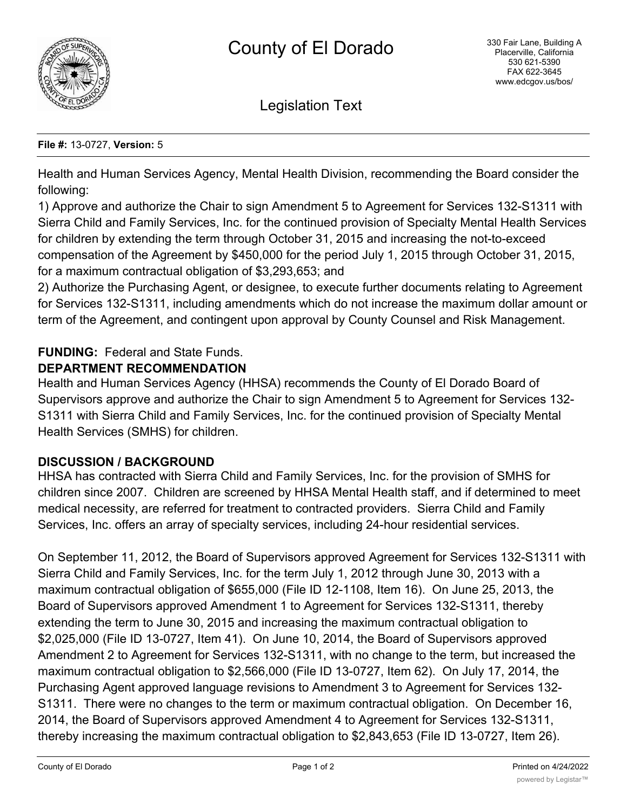

Legislation Text

#### **File #:** 13-0727, **Version:** 5

Health and Human Services Agency, Mental Health Division, recommending the Board consider the following:

1) Approve and authorize the Chair to sign Amendment 5 to Agreement for Services 132-S1311 with Sierra Child and Family Services, Inc. for the continued provision of Specialty Mental Health Services for children by extending the term through October 31, 2015 and increasing the not-to-exceed compensation of the Agreement by \$450,000 for the period July 1, 2015 through October 31, 2015, for a maximum contractual obligation of \$3,293,653; and

2) Authorize the Purchasing Agent, or designee, to execute further documents relating to Agreement for Services 132-S1311, including amendments which do not increase the maximum dollar amount or term of the Agreement, and contingent upon approval by County Counsel and Risk Management.

# **FUNDING:** Federal and State Funds.

### **DEPARTMENT RECOMMENDATION**

Health and Human Services Agency (HHSA) recommends the County of El Dorado Board of Supervisors approve and authorize the Chair to sign Amendment 5 to Agreement for Services 132- S1311 with Sierra Child and Family Services, Inc. for the continued provision of Specialty Mental Health Services (SMHS) for children.

## **DISCUSSION / BACKGROUND**

HHSA has contracted with Sierra Child and Family Services, Inc. for the provision of SMHS for children since 2007. Children are screened by HHSA Mental Health staff, and if determined to meet medical necessity, are referred for treatment to contracted providers. Sierra Child and Family Services, Inc. offers an array of specialty services, including 24-hour residential services.

On September 11, 2012, the Board of Supervisors approved Agreement for Services 132-S1311 with Sierra Child and Family Services, Inc. for the term July 1, 2012 through June 30, 2013 with a maximum contractual obligation of \$655,000 (File ID 12-1108, Item 16). On June 25, 2013, the Board of Supervisors approved Amendment 1 to Agreement for Services 132-S1311, thereby extending the term to June 30, 2015 and increasing the maximum contractual obligation to \$2,025,000 (File ID 13-0727, Item 41). On June 10, 2014, the Board of Supervisors approved Amendment 2 to Agreement for Services 132-S1311, with no change to the term, but increased the maximum contractual obligation to \$2,566,000 (File ID 13-0727, Item 62). On July 17, 2014, the Purchasing Agent approved language revisions to Amendment 3 to Agreement for Services 132- S1311. There were no changes to the term or maximum contractual obligation. On December 16, 2014, the Board of Supervisors approved Amendment 4 to Agreement for Services 132-S1311, thereby increasing the maximum contractual obligation to \$2,843,653 (File ID 13-0727, Item 26).